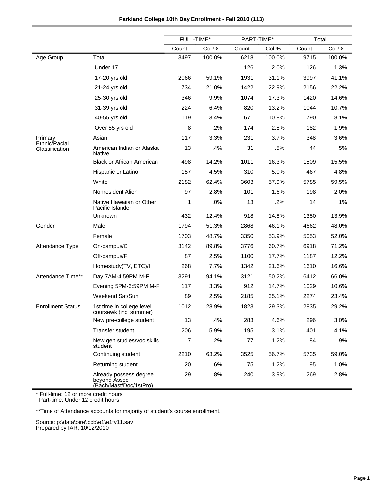|  | Parkland College 10th Day Enrollment - Fall 2010 (113) |
|--|--------------------------------------------------------|
|--|--------------------------------------------------------|

|                                 |                                                                  | FULL-TIME* |        | PART-TIME* |        | Total |        |
|---------------------------------|------------------------------------------------------------------|------------|--------|------------|--------|-------|--------|
|                                 |                                                                  | Count      | Col %  | Count      | Col %  | Count | Col %  |
| Age Group                       | Total                                                            | 3497       | 100.0% | 6218       | 100.0% | 9715  | 100.0% |
|                                 | Under 17                                                         |            |        | 126        | 2.0%   | 126   | 1.3%   |
|                                 | 17-20 yrs old                                                    | 2066       | 59.1%  | 1931       | 31.1%  | 3997  | 41.1%  |
|                                 | 21-24 yrs old                                                    | 734        | 21.0%  | 1422       | 22.9%  | 2156  | 22.2%  |
|                                 | 25-30 yrs old                                                    | 346        | 9.9%   | 1074       | 17.3%  | 1420  | 14.6%  |
|                                 | 31-39 yrs old                                                    | 224        | 6.4%   | 820        | 13.2%  | 1044  | 10.7%  |
|                                 | 40-55 yrs old                                                    | 119        | 3.4%   | 671        | 10.8%  | 790   | 8.1%   |
|                                 | Over 55 yrs old                                                  | 8          | .2%    | 174        | 2.8%   | 182   | 1.9%   |
| Primary                         | Asian                                                            | 117        | 3.3%   | 231        | 3.7%   | 348   | 3.6%   |
| Ethnic/Racial<br>Classification | American Indian or Alaska<br>Native                              | 13         | .4%    | 31         | .5%    | 44    | .5%    |
|                                 | <b>Black or African American</b>                                 | 498        | 14.2%  | 1011       | 16.3%  | 1509  | 15.5%  |
|                                 | Hispanic or Latino                                               | 157        | 4.5%   | 310        | 5.0%   | 467   | 4.8%   |
|                                 | White                                                            | 2182       | 62.4%  | 3603       | 57.9%  | 5785  | 59.5%  |
|                                 | Nonresident Alien                                                | 97         | 2.8%   | 101        | 1.6%   | 198   | 2.0%   |
|                                 | Native Hawaiian or Other<br>Pacific Islander                     | 1          | .0%    | 13         | .2%    | 14    | .1%    |
|                                 | Unknown                                                          | 432        | 12.4%  | 918        | 14.8%  | 1350  | 13.9%  |
| Gender                          | Male                                                             | 1794       | 51.3%  | 2868       | 46.1%  | 4662  | 48.0%  |
|                                 | Female                                                           | 1703       | 48.7%  | 3350       | 53.9%  | 5053  | 52.0%  |
| Attendance Type                 | On-campus/C                                                      | 3142       | 89.8%  | 3776       | 60.7%  | 6918  | 71.2%  |
|                                 | Off-campus/F                                                     | 87         | 2.5%   | 1100       | 17.7%  | 1187  | 12.2%  |
|                                 | Homestudy(TV, ETC)/H                                             | 268        | 7.7%   | 1342       | 21.6%  | 1610  | 16.6%  |
| Attendance Time**               | Day 7AM-4:59PM M-F                                               | 3291       | 94.1%  | 3121       | 50.2%  | 6412  | 66.0%  |
|                                 | Evening 5PM-6:59PM M-F                                           | 117        | 3.3%   | 912        | 14.7%  | 1029  | 10.6%  |
|                                 | Weekend Sat/Sun                                                  | 89         | 2.5%   | 2185       | 35.1%  | 2274  | 23.4%  |
| <b>Enrollment Status</b>        | 1st time in college level<br>coursewk (incl summer)              | 1012       | 28.9%  | 1823       | 29.3%  | 2835  | 29.2%  |
|                                 | New pre-college student                                          | 13         | .4%    | 283        | 4.6%   | 296   | 3.0%   |
|                                 | Transfer student                                                 | 206        | 5.9%   | 195        | 3.1%   | 401   | 4.1%   |
|                                 | New gen studies/voc skills<br>student                            | 7          | .2%    | 77         | 1.2%   | 84    | .9%    |
|                                 | Continuing student                                               | 2210       | 63.2%  | 3525       | 56.7%  | 5735  | 59.0%  |
|                                 | Returning student                                                | 20         | .6%    | 75         | 1.2%   | 95    | 1.0%   |
|                                 | Already possess degree<br>beyond Assoc<br>(Bach/Mast/Doc/1stPro) | 29         | .8%    | 240        | 3.9%   | 269   | 2.8%   |

\*\*Time of Attendance accounts for majority of student's course enrollment.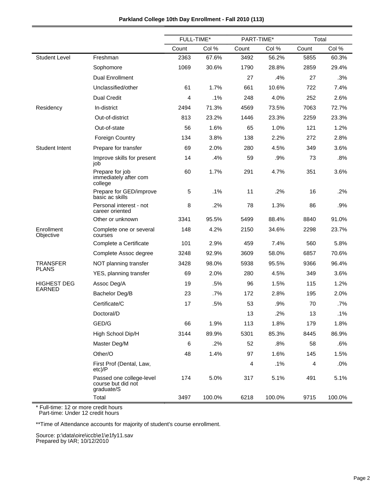|                         |                                                              | FULL-TIME* |        | PART-TIME*     |        | Total |        |
|-------------------------|--------------------------------------------------------------|------------|--------|----------------|--------|-------|--------|
|                         |                                                              | Count      | Col %  | Count          | Col %  | Count | Col %  |
| <b>Student Level</b>    | Freshman                                                     | 2363       | 67.6%  | 3492           | 56.2%  | 5855  | 60.3%  |
|                         | Sophomore                                                    | 1069       | 30.6%  | 1790           | 28.8%  | 2859  | 29.4%  |
|                         | Dual Enrollment                                              |            |        | 27             | .4%    | 27    | .3%    |
|                         | Unclassified/other                                           | 61         | 1.7%   | 661            | 10.6%  | 722   | 7.4%   |
|                         | <b>Dual Credit</b>                                           | 4          | .1%    | 248            | 4.0%   | 252   | 2.6%   |
| Residency               | In-district                                                  | 2494       | 71.3%  | 4569           | 73.5%  | 7063  | 72.7%  |
|                         | Out-of-district                                              | 813        | 23.2%  | 1446           | 23.3%  | 2259  | 23.3%  |
|                         | Out-of-state                                                 | 56         | 1.6%   | 65             | 1.0%   | 121   | 1.2%   |
|                         | <b>Foreign Country</b>                                       | 134        | 3.8%   | 138            | 2.2%   | 272   | 2.8%   |
| Student Intent          | Prepare for transfer                                         | 69         | 2.0%   | 280            | 4.5%   | 349   | 3.6%   |
|                         | Improve skills for present<br>job                            | 14         | .4%    | 59             | .9%    | 73    | .8%    |
|                         | Prepare for job<br>immediately after com<br>college          | 60         | 1.7%   | 291            | 4.7%   | 351   | 3.6%   |
|                         | Prepare for GED/improve<br>basic ac skills                   | 5          | .1%    | 11             | .2%    | 16    | .2%    |
|                         | Personal interest - not<br>career oriented                   | 8          | .2%    | 78             | 1.3%   | 86    | .9%    |
|                         | Other or unknown                                             | 3341       | 95.5%  | 5499           | 88.4%  | 8840  | 91.0%  |
| Enrollment<br>Objective | Complete one or several<br>courses                           | 148        | 4.2%   | 2150           | 34.6%  | 2298  | 23.7%  |
|                         | Complete a Certificate                                       | 101        | 2.9%   | 459            | 7.4%   | 560   | 5.8%   |
|                         | Complete Assoc degree                                        | 3248       | 92.9%  | 3609           | 58.0%  | 6857  | 70.6%  |
| <b>TRANSFER</b>         | NOT planning transfer                                        | 3428       | 98.0%  | 5938           | 95.5%  | 9366  | 96.4%  |
| <b>PLANS</b>            | YES, planning transfer                                       | 69         | 2.0%   | 280            | 4.5%   | 349   | 3.6%   |
| <b>HIGHEST DEG</b>      | Assoc Deg/A                                                  | 19         | .5%    | 96             | 1.5%   | 115   | 1.2%   |
| <b>EARNED</b>           | Bachelor Deg/B                                               | 23         | $.7\%$ | 172            | 2.8%   | 195   | 2.0%   |
|                         | Certificate/C                                                | 17         | .5%    | 53             | .9%    | 70    | .7%    |
|                         | Doctoral/D                                                   |            |        | 13             | .2%    | 13    | .1%    |
|                         | GED/G                                                        | 66         | 1.9%   | 113            | 1.8%   | 179   | 1.8%   |
|                         | High School Dip/H                                            | 3144       | 89.9%  | 5301           | 85.3%  | 8445  | 86.9%  |
|                         | Master Deg/M                                                 | 6          | $.2\%$ | 52             | .8%    | 58    | .6%    |
|                         | Other/O                                                      | 48         | 1.4%   | 97             | 1.6%   | 145   | 1.5%   |
|                         | First Prof (Dental, Law,<br>etc)/P                           |            |        | $\overline{4}$ | .1%    | 4     | .0%    |
|                         | Passed one college-level<br>course but did not<br>graduate/S | 174        | 5.0%   | 317            | 5.1%   | 491   | 5.1%   |
|                         | Total                                                        | 3497       | 100.0% | 6218           | 100.0% | 9715  | 100.0% |

Part-time: Under 12 credit hours

 $\blacksquare$ 

\*\*Time of Attendance accounts for majority of student's course enrollment.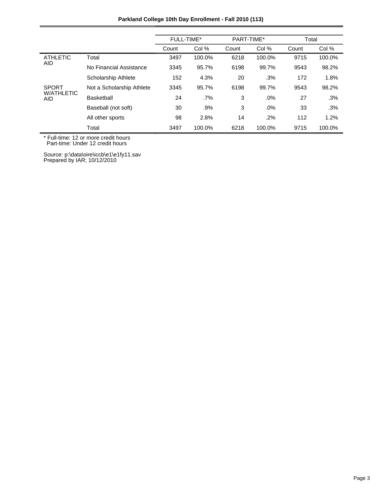|                                 |                            | <b>FULL-TIME*</b> |        | PART-TIME* |        | Total |        |
|---------------------------------|----------------------------|-------------------|--------|------------|--------|-------|--------|
|                                 |                            | Count             | Col %  | Count      | Col %  | Count | Col %  |
| <b>ATHLETIC</b>                 | Total                      | 3497              | 100.0% | 6218       | 100.0% | 9715  | 100.0% |
| AID.                            | No Financial Assistance    | 3345              | 95.7%  | 6198       | 99.7%  | 9543  | 98.2%  |
|                                 | <b>Scholarship Athlete</b> | 152               | 4.3%   | 20         | .3%    | 172   | 1.8%   |
| <b>SPORT</b>                    | Not a Scholarship Athlete  | 3345              | 95.7%  | 6198       | 99.7%  | 9543  | 98.2%  |
| <b>W/ATHLETIC</b><br><b>AID</b> | <b>Basketball</b>          | 24                | $.7\%$ | 3          | .0%    | 27    | .3%    |
|                                 | Baseball (not soft)        | 30                | .9%    | 3          | .0%    | 33    | .3%    |
|                                 | All other sports           | 98                | 2.8%   | 14         | $.2\%$ | 112   | 1.2%   |
|                                 | Total                      | 3497              | 100.0% | 6218       | 100.0% | 9715  | 100.0% |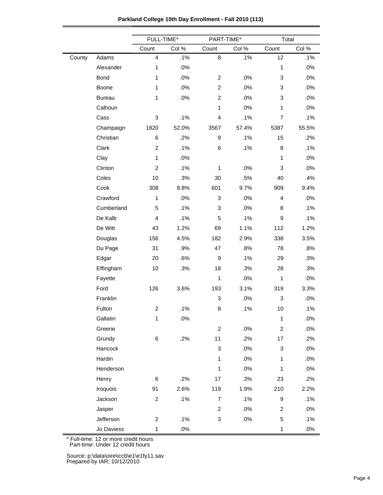|  | Parkland College 10th Day Enrollment - Fall 2010 (113) |  |
|--|--------------------------------------------------------|--|
|--|--------------------------------------------------------|--|

|        |               | FULL-TIME*<br>PART-TIME* |       |                  | Total  |                |        |
|--------|---------------|--------------------------|-------|------------------|--------|----------------|--------|
|        |               | Count                    | Col % | Count            | Col %  | Count          | Col %  |
| County | Adams         | $\overline{4}$           | .1%   | 8                | .1%    | 12             | .1%    |
|        | Alexander     | 1                        | .0%   |                  |        | $\mathbf{1}$   | .0%    |
|        | <b>Bond</b>   | 1                        | .0%   | $\overline{c}$   | .0%    | 3              | .0%    |
|        | Boone         | 1                        | .0%   | $\overline{c}$   | .0%    | 3              | .0%    |
|        | <b>Bureau</b> | 1                        | .0%   | $\overline{c}$   | .0%    | 3              | .0%    |
|        | Calhoun       |                          |       | $\mathbf{1}$     | .0%    | $\mathbf{1}$   | .0%    |
|        | Cass          | 3                        | .1%   | 4                | .1%    | $\overline{7}$ | .1%    |
|        | Champaign     | 1820                     | 52.0% | 3567             | 57.4%  | 5387           | 55.5%  |
|        | Christian     | 6                        | .2%   | $\boldsymbol{9}$ | .1%    | 15             | .2%    |
|        | Clark         | $\overline{c}$           | .1%   | 6                | .1%    | 8              | .1%    |
|        | Clay          | $\mathbf{1}$             | .0%   |                  |        | $\mathbf{1}$   | .0%    |
|        | Clinton       | $\overline{c}$           | .1%   | $\mathbf{1}$     | .0%    | 3              | .0%    |
|        | Coles         | 10                       | .3%   | 30               | .5%    | 40             | .4%    |
|        | Cook          | 308                      | 8.8%  | 601              | 9.7%   | 909            | 9.4%   |
|        | Crawford      | 1                        | .0%   | 3                | .0%    | 4              | .0%    |
|        | Cumberland    | 5                        | .1%   | 3                | .0%    | 8              | .1%    |
|        | De Kalb       | 4                        | .1%   | 5                | .1%    | 9              | .1%    |
|        | De Witt       | 43                       | 1.2%  | 69               | 1.1%   | 112            | 1.2%   |
|        | Douglas       | 156                      | 4.5%  | 182              | 2.9%   | 338            | 3.5%   |
|        | Du Page       | 31                       | .9%   | 47               | .8%    | 78             | .8%    |
|        | Edgar         | 20                       | .6%   | $\boldsymbol{9}$ | .1%    | 29             | .3%    |
|        | Effingham     | 10                       | .3%   | 18               | .3%    | 28             | .3%    |
|        | Fayette       |                          |       | $\mathbf{1}$     | .0%    | $\mathbf{1}$   | .0%    |
|        | Ford          | 126                      | 3.6%  | 193              | 3.1%   | 319            | 3.3%   |
|        | Franklin      |                          |       | 3                | .0%    | 3              | .0%    |
|        | Fulton        | $\overline{\mathbf{c}}$  | .1%   | 8                | .1%    | 10             | .1%    |
|        | Gallatin      | 1                        | .0%   |                  |        | $\mathbf{1}$   | .0%    |
|        | Greene        |                          |       | $\overline{c}$   | .0%    | $\overline{c}$ | .0%    |
|        | Grundy        | 6                        | .2%   | 11               | .2%    | 17             | .2%    |
|        | Hancock       |                          |       | 3                | .0%    | 3              | .0%    |
|        | Hardin        |                          |       | $\mathbf{1}$     | .0%    | $\mathbf{1}$   | .0%    |
|        | Henderson     |                          |       | $\mathbf{1}$     | .0%    | $\mathbf{1}$   | .0%    |
|        | Henry         | 6                        | .2%   | 17               | .3%    | 23             | .2%    |
|        | Iroquois      | 91                       | 2.6%  | 119              | 1.9%   | 210            | 2.2%   |
|        | Jackson       | $\overline{c}$           | .1%   | $\overline{7}$   | .1%    | 9              | .1%    |
|        | Jasper        |                          |       | $\overline{2}$   | .0%    | $\overline{c}$ | .0%    |
|        | Jefferson     | $\overline{c}$           | .1%   | 3                | $.0\%$ | 5              | .1%    |
|        | Jo Daviess    | $\mathbf{1}$             | .0%   |                  |        | $\mathbf{1}$   | $.0\%$ |

Part-time: Under 12 credit hours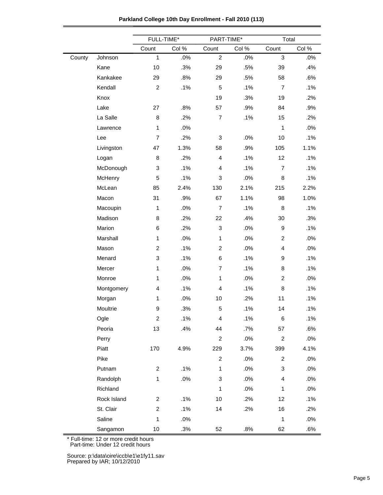|  | Parkland College 10th Day Enrollment - Fall 2010 (113) |
|--|--------------------------------------------------------|
|--|--------------------------------------------------------|

|        |             | FULL-TIME*     |        | PART-TIME*              |        | Total          |       |  |
|--------|-------------|----------------|--------|-------------------------|--------|----------------|-------|--|
|        |             | Count          | Col %  | Count                   | Col %  | Count          | Col % |  |
| County | Johnson     | $\mathbf{1}$   | .0%    | $\boldsymbol{2}$        | .0%    | 3              | .0%   |  |
|        | Kane        | 10             | .3%    | 29                      | .5%    | 39             | .4%   |  |
|        | Kankakee    | 29             | .8%    | 29                      | .5%    | 58             | .6%   |  |
|        | Kendall     | $\sqrt{2}$     | .1%    | $\sqrt{5}$              | .1%    | $\overline{7}$ | .1%   |  |
|        | Knox        |                |        | 19                      | .3%    | 19             | .2%   |  |
|        | Lake        | 27             | .8%    | 57                      | .9%    | 84             | .9%   |  |
|        | La Salle    | 8              | .2%    | $\overline{7}$          | .1%    | 15             | .2%   |  |
|        | Lawrence    | 1              | .0%    |                         |        | $\mathbf{1}$   | .0%   |  |
|        | Lee         | $\overline{7}$ | .2%    | 3                       | .0%    | 10             | .1%   |  |
|        | Livingston  | 47             | 1.3%   | 58                      | .9%    | 105            | 1.1%  |  |
|        | Logan       | 8              | .2%    | 4                       | .1%    | 12             | .1%   |  |
|        | McDonough   | 3              | .1%    | 4                       | .1%    | $\overline{7}$ | .1%   |  |
|        | McHenry     | 5              | .1%    | 3                       | .0%    | 8              | .1%   |  |
|        | McLean      | 85             | 2.4%   | 130                     | 2.1%   | 215            | 2.2%  |  |
|        | Macon       | 31             | .9%    | 67                      | 1.1%   | 98             | 1.0%  |  |
|        | Macoupin    | 1              | .0%    | $\overline{7}$          | .1%    | 8              | .1%   |  |
|        | Madison     | 8              | .2%    | 22                      | .4%    | 30             | .3%   |  |
|        | Marion      | 6              | .2%    | 3                       | .0%    | 9              | .1%   |  |
|        | Marshall    | $\mathbf{1}$   | .0%    | $\mathbf{1}$            | .0%    | $\overline{2}$ | .0%   |  |
|        | Mason       | $\overline{c}$ | .1%    | $\overline{c}$          | .0%    | 4              | .0%   |  |
|        | Menard      | 3              | .1%    | 6                       | .1%    | 9              | .1%   |  |
|        | Mercer      | $\mathbf{1}$   | .0%    | $\overline{7}$          | .1%    | 8              | .1%   |  |
|        | Monroe      | 1              | .0%    | $\mathbf{1}$            | .0%    | $\overline{c}$ | .0%   |  |
|        | Montgomery  | 4              | .1%    | 4                       | .1%    | 8              | .1%   |  |
|        | Morgan      | $\mathbf{1}$   | .0%    | 10                      | .2%    | 11             | .1%   |  |
|        | Moultrie    | 9              | .3%    | 5                       | .1%    | 14             | .1%   |  |
|        | Ogle        | $\overline{c}$ | .1%    | $\overline{\mathbf{4}}$ | .1%    | 6              | .1%   |  |
|        | Peoria      | 13             | .4%    | 44                      | .7%    | 57             | .6%   |  |
|        | Perry       |                |        | $\overline{c}$          | .0%    | $\overline{c}$ | .0%   |  |
|        | Piatt       | 170            | 4.9%   | 229                     | 3.7%   | 399            | 4.1%  |  |
|        | Pike        |                |        | $\overline{a}$          | .0%    | $\overline{2}$ | .0%   |  |
|        | Putnam      | $\overline{c}$ | .1%    | $\mathbf{1}$            | .0%    | 3              | .0%   |  |
|        | Randolph    | 1              | $.0\%$ | 3                       | .0%    | 4              | .0%   |  |
|        | Richland    |                |        | $\mathbf{1}$            | $.0\%$ | $\mathbf{1}$   | .0%   |  |
|        | Rock Island | $\overline{c}$ | .1%    | 10                      | .2%    | 12             | .1%   |  |
|        | St. Clair   | 2              | .1%    | 14                      | .2%    | 16             | .2%   |  |
|        | Saline      | $\mathbf{1}$   | $.0\%$ |                         |        | $\mathbf{1}$   | .0%   |  |
|        | Sangamon    | $10$           | .3%    | 52                      | .8%    | 62             | .6%   |  |

Part-time: Under 12 credit hours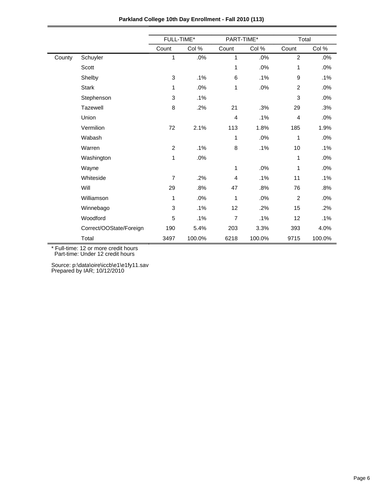|        |                         | FULL-TIME*     |        | PART-TIME*     |        | Total          |        |  |
|--------|-------------------------|----------------|--------|----------------|--------|----------------|--------|--|
|        |                         | Count          | Col %  | Count          | Col %  | Count          | Col %  |  |
| County | Schuyler                | 1              | .0%    | $\mathbf{1}$   | .0%    | $\overline{2}$ | .0%    |  |
|        | Scott                   |                |        | 1              | .0%    | 1              | .0%    |  |
|        | Shelby                  | 3              | .1%    | 6              | .1%    | 9              | .1%    |  |
|        | <b>Stark</b>            | 1              | .0%    | 1              | .0%    | $\overline{c}$ | .0%    |  |
|        | Stephenson              | 3              | .1%    |                |        | 3              | .0%    |  |
|        | Tazewell                | 8              | .2%    | 21             | .3%    | 29             | .3%    |  |
|        | Union                   |                |        | $\overline{4}$ | .1%    | 4              | .0%    |  |
|        | Vermilion               | 72             | 2.1%   | 113            | 1.8%   | 185            | 1.9%   |  |
|        | Wabash                  |                |        | 1              | .0%    | 1              | .0%    |  |
|        | Warren                  | $\overline{2}$ | .1%    | 8              | .1%    | 10             | $.1\%$ |  |
|        | Washington              | 1              | .0%    |                |        | 1              | .0%    |  |
|        | Wayne                   |                |        | 1              | .0%    | 1              | .0%    |  |
|        | Whiteside               | $\overline{7}$ | .2%    | 4              | .1%    | 11             | .1%    |  |
|        | Will                    | 29             | .8%    | 47             | .8%    | 76             | .8%    |  |
|        | Williamson              | 1              | .0%    | 1              | .0%    | 2              | .0%    |  |
|        | Winnebago               | 3              | .1%    | 12             | .2%    | 15             | $.2\%$ |  |
|        | Woodford                | 5              | .1%    | $\overline{7}$ | .1%    | 12             | .1%    |  |
|        | Correct/OOState/Foreign | 190            | 5.4%   | 203            | 3.3%   | 393            | 4.0%   |  |
|        | Total                   | 3497           | 100.0% | 6218           | 100.0% | 9715           | 100.0% |  |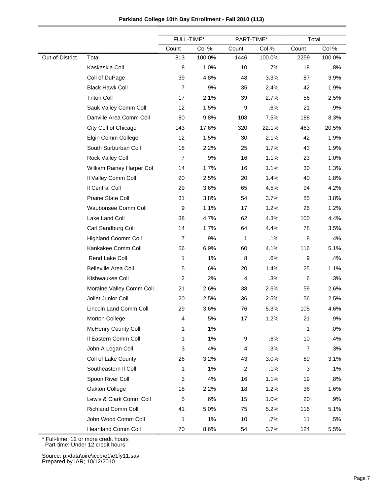| Parkland College 10th Day Enrollment - Fall 2010 (113) |  |  |  |
|--------------------------------------------------------|--|--|--|
|--------------------------------------------------------|--|--|--|

|                 |                             | FULL-TIME*     |        | PART-TIME*              |        | Total |        |
|-----------------|-----------------------------|----------------|--------|-------------------------|--------|-------|--------|
|                 |                             | Count          | Col %  | Count                   | Col %  | Count | Col %  |
| Out-of-District | Total                       | 813            | 100.0% | 1446                    | 100.0% | 2259  | 100.0% |
|                 | Kaskaskia Coll              | 8              | 1.0%   | 10                      | $.7\%$ | 18    | .8%    |
|                 | Coll of DuPage              | 39             | 4.8%   | 48                      | 3.3%   | 87    | 3.9%   |
|                 | <b>Black Hawk Coll</b>      | $\overline{7}$ | .9%    | 35                      | 2.4%   | 42    | 1.9%   |
|                 | <b>Triton Coll</b>          | 17             | 2.1%   | 39                      | 2.7%   | 56    | 2.5%   |
|                 | Sauk Valley Comm Coll       | 12             | 1.5%   | 9                       | .6%    | 21    | .9%    |
|                 | Danville Area Comm Coll     | 80             | 9.8%   | 108                     | 7.5%   | 188   | 8.3%   |
|                 | City Coll of Chicago        | 143            | 17.6%  | 320                     | 22.1%  | 463   | 20.5%  |
|                 | Elgin Comm College          | 12             | 1.5%   | 30                      | 2.1%   | 42    | 1.9%   |
|                 | South Surburban Coll        | 18             | 2.2%   | 25                      | 1.7%   | 43    | 1.9%   |
|                 | Rock Valley Coll            | $\overline{7}$ | .9%    | 16                      | 1.1%   | 23    | 1.0%   |
|                 | William Rainey Harper Col   | 14             | 1.7%   | 16                      | 1.1%   | 30    | 1.3%   |
|                 | Il Valley Comm Coll         | 20             | 2.5%   | 20                      | 1.4%   | 40    | 1.8%   |
|                 | Il Central Coll             | 29             | 3.6%   | 65                      | 4.5%   | 94    | 4.2%   |
|                 | Prairie State Coll          | 31             | 3.8%   | 54                      | 3.7%   | 85    | 3.8%   |
|                 | Waubonsee Comm Coll         | 9              | 1.1%   | 17                      | 1.2%   | 26    | 1.2%   |
|                 | Lake Land Coll              | 38             | 4.7%   | 62                      | 4.3%   | 100   | 4.4%   |
|                 | Carl Sandburg Coll          | 14             | 1.7%   | 64                      | 4.4%   | 78    | 3.5%   |
|                 | <b>Highland Coomm Coll</b>  | $\overline{7}$ | .9%    | 1                       | .1%    | 8     | .4%    |
|                 | Kankakee Comm Coll          | 56             | 6.9%   | 60                      | 4.1%   | 116   | 5.1%   |
|                 | Rend Lake Coll              | 1              | .1%    | 8                       | .6%    | 9     | .4%    |
|                 | <b>Belleville Area Coll</b> | 5              | .6%    | 20                      | 1.4%   | 25    | 1.1%   |
|                 | Kishwaukee Coll             | 2              | .2%    | $\overline{\mathbf{4}}$ | .3%    | 6     | .3%    |
|                 | Moraine Valley Comm Coll    | 21             | 2.6%   | 38                      | 2.6%   | 59    | 2.6%   |
|                 | Joliet Junior Coll          | 20             | 2.5%   | 36                      | 2.5%   | 56    | 2.5%   |
|                 | Lincoln Land Comm Coll      | 29             | 3.6%   | 76                      | 5.3%   | 105   | 4.6%   |
|                 | Morton College              | 4              | .5%    | 17                      | 1.2%   | 21    | .9%    |
|                 | McHenry County Coll         | 1              | .1%    |                         |        | 1     | .0%    |
|                 | Il Eastern Comm Coll        | 1              | .1%    | 9                       | .6%    | 10    | .4%    |
|                 | John A Logan Coll           | 3              | .4%    | $\overline{4}$          | .3%    | 7     | .3%    |
|                 | Coll of Lake County         | 26             | 3.2%   | 43                      | 3.0%   | 69    | 3.1%   |
|                 | Southeastern II Coll        | 1              | .1%    | $\boldsymbol{2}$        | .1%    | 3     | .1%    |
|                 | Spoon River Coll            | 3              | .4%    | 16                      | 1.1%   | 19    | .8%    |
|                 | Oakton College              | 18             | 2.2%   | 18                      | 1.2%   | 36    | 1.6%   |
|                 | Lewis & Clark Comm Coll     | 5              | .6%    | 15                      | 1.0%   | 20    | .9%    |
|                 | <b>Richland Comm Coll</b>   | 41             | 5.0%   | 75                      | 5.2%   | 116   | 5.1%   |
|                 | John Wood Comm Coll         | 1              | .1%    | 10                      | .7%    | 11    | .5%    |
|                 | <b>Heartland Comm Coll</b>  | 70             | 8.6%   | 54                      | 3.7%   | 124   | 5.5%   |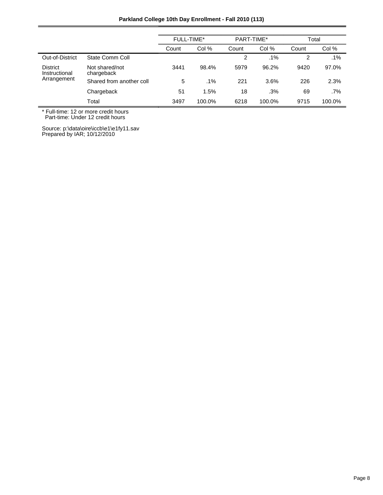| Parkland College 10th Day Enrollment - Fall 2010 (113) |  |  |  |  |  |
|--------------------------------------------------------|--|--|--|--|--|
|--------------------------------------------------------|--|--|--|--|--|

|                                  |                              | FULL-TIME* |        | PART-TIME* |        | Total |        |
|----------------------------------|------------------------------|------------|--------|------------|--------|-------|--------|
|                                  |                              | Count      | Col %  | Count      | Col %  | Count | Col %  |
| Out-of-District                  | State Comm Coll              |            |        | 2          | $.1\%$ | 2     | .1%    |
| <b>District</b><br>Instructional | Not shared/not<br>chargeback | 3441       | 98.4%  | 5979       | 96.2%  | 9420  | 97.0%  |
| Arrangement                      | Shared from another coll     | 5          | $.1\%$ | 221        | 3.6%   | 226   | 2.3%   |
|                                  | Chargeback                   | 51         | 1.5%   | 18         | .3%    | 69    | $.7\%$ |
|                                  | Total                        | 3497       | 100.0% | 6218       | 100.0% | 9715  | 100.0% |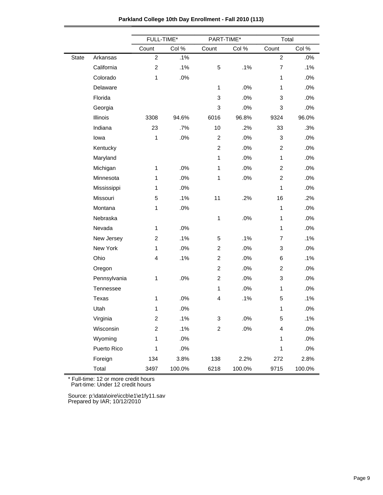|       |              | FULL-TIME*       |        | PART-TIME*     |        | Total                   |        |
|-------|--------------|------------------|--------|----------------|--------|-------------------------|--------|
|       |              | Count            | Col %  | Count          | Col %  | Count                   | Col %  |
| State | Arkansas     | $\overline{c}$   | .1%    |                |        | $\overline{2}$          | .0%    |
|       | California   | $\overline{c}$   | .1%    | 5              | .1%    | $\overline{7}$          | .1%    |
|       | Colorado     | $\mathbf{1}$     | .0%    |                |        | $\mathbf{1}$            | .0%    |
|       | Delaware     |                  |        | $\mathbf{1}$   | .0%    | $\mathbf{1}$            | .0%    |
|       | Florida      |                  |        | 3              | .0%    | 3                       | .0%    |
|       | Georgia      |                  |        | 3              | .0%    | 3                       | .0%    |
|       | Illinois     | 3308             | 94.6%  | 6016           | 96.8%  | 9324                    | 96.0%  |
|       | Indiana      | 23               | .7%    | 10             | .2%    | 33                      | .3%    |
|       | lowa         | 1                | .0%    | $\overline{c}$ | .0%    | 3                       | .0%    |
|       | Kentucky     |                  |        | $\overline{c}$ | .0%    | $\overline{2}$          | .0%    |
|       | Maryland     |                  |        | $\mathbf{1}$   | .0%    | $\mathbf{1}$            | .0%    |
|       | Michigan     | $\mathbf{1}$     | .0%    | $\mathbf{1}$   | .0%    | $\overline{c}$          | .0%    |
|       | Minnesota    | $\mathbf{1}$     | .0%    | $\mathbf{1}$   | .0%    | $\overline{2}$          | .0%    |
|       | Mississippi  | $\mathbf{1}$     | .0%    |                |        | $\mathbf{1}$            | .0%    |
|       | Missouri     | 5                | .1%    | 11             | .2%    | 16                      | .2%    |
|       | Montana      | $\mathbf{1}$     | .0%    |                |        | $\mathbf{1}$            | .0%    |
|       | Nebraska     |                  |        | $\mathbf{1}$   | .0%    | $\mathbf{1}$            | .0%    |
|       | Nevada       | 1                | .0%    |                |        | $\mathbf{1}$            | .0%    |
|       | New Jersey   | $\overline{c}$   | .1%    | 5              | .1%    | $\overline{7}$          | .1%    |
|       | New York     | 1                | .0%    | $\overline{c}$ | $.0\%$ | 3                       | .0%    |
|       | Ohio         | $\overline{4}$   | .1%    | $\overline{c}$ | .0%    | 6                       | .1%    |
|       | Oregon       |                  |        | $\overline{c}$ | .0%    | $\overline{c}$          | .0%    |
|       | Pennsylvania | 1                | .0%    | $\overline{c}$ | .0%    | 3                       | .0%    |
|       | Tennessee    |                  |        | $\mathbf{1}$   | .0%    | $\mathbf{1}$            | .0%    |
|       | Texas        | $\mathbf{1}$     | $.0\%$ | 4              | .1%    | 5                       | .1%    |
|       | Utah         | $\mathbf{1}$     | $.0\%$ |                |        | $\mathbf{1}$            | .0%    |
|       | Virginia     | $\overline{c}$   | .1%    | 3              | $.0\%$ | 5                       | .1%    |
|       | Wisconsin    | $\boldsymbol{2}$ | .1%    | $\overline{c}$ | $.0\%$ | $\overline{\mathbf{4}}$ | $.0\%$ |
|       | Wyoming      | $\mathbf{1}$     | .0%    |                |        | $\mathbf{1}$            | .0%    |
|       | Puerto Rico  | 1                | .0%    |                |        | $\mathbf{1}$            | $.0\%$ |
|       | Foreign      | 134              | 3.8%   | 138            | 2.2%   | 272                     | 2.8%   |
|       | Total        | 3497             | 100.0% | 6218           | 100.0% | 9715                    | 100.0% |

**Parkland College 10th Day Enrollment - Fall 2010 (113)**

Part-time: Under 12 credit hours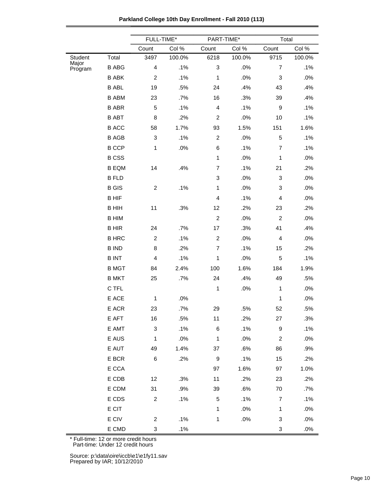|  | Parkland College 10th Day Enrollment - Fall 2010 (113) |  |
|--|--------------------------------------------------------|--|
|--|--------------------------------------------------------|--|

|                  |                 | FULL-TIME*                |        | PART-TIME*                |        | Total                     |        |
|------------------|-----------------|---------------------------|--------|---------------------------|--------|---------------------------|--------|
|                  |                 | Count                     | Col %  | Count                     | Col %  | Count                     | Col %  |
| Student          | Total           | 3497                      | 100.0% | 6218                      | 100.0% | 9715                      | 100.0% |
| Major<br>Program | <b>B ABG</b>    | $\overline{\mathbf{4}}$   | .1%    | $\ensuremath{\mathsf{3}}$ | .0%    | $\overline{7}$            | .1%    |
|                  | <b>B ABK</b>    | 2                         | .1%    | 1                         | .0%    | $\mathbf 3$               | .0%    |
|                  | <b>B ABL</b>    | 19                        | .5%    | 24                        | .4%    | 43                        | .4%    |
|                  | <b>B ABM</b>    | 23                        | .7%    | 16                        | .3%    | 39                        | .4%    |
|                  | <b>B ABR</b>    | 5                         | .1%    | $\overline{\mathbf{4}}$   | .1%    | $\boldsymbol{9}$          | .1%    |
|                  | <b>B ABT</b>    | 8                         | .2%    | $\boldsymbol{2}$          | .0%    | 10                        | .1%    |
|                  | <b>BACC</b>     | 58                        | 1.7%   | 93                        | 1.5%   | 151                       | 1.6%   |
|                  | <b>B AGB</b>    | 3                         | .1%    | $\boldsymbol{2}$          | .0%    | $\mathbf 5$               | .1%    |
|                  | <b>B CCP</b>    | 1                         | .0%    | 6                         | .1%    | $\overline{7}$            | .1%    |
|                  | <b>BCSS</b>     |                           |        | 1                         | $.0\%$ | 1                         | .0%    |
|                  | <b>B EQM</b>    | 14                        | .4%    | $\overline{7}$            | .1%    | 21                        | .2%    |
|                  | <b>B FLD</b>    |                           |        | $\ensuremath{\mathsf{3}}$ | .0%    | 3                         | .0%    |
|                  | <b>B</b> GIS    | $\boldsymbol{2}$          | .1%    | 1                         | .0%    | 3                         | .0%    |
|                  | <b>BHIF</b>     |                           |        | 4                         | .1%    | $\overline{4}$            | .0%    |
|                  | <b>BHIH</b>     | 11                        | .3%    | 12                        | .2%    | 23                        | .2%    |
|                  | <b>B HIM</b>    |                           |        | $\overline{c}$            | .0%    | $\overline{2}$            | .0%    |
|                  | <b>BHIR</b>     | 24                        | .7%    | 17                        | .3%    | 41                        | .4%    |
|                  | <b>B HRC</b>    | $\overline{c}$            | .1%    | $\boldsymbol{2}$          | .0%    | $\overline{4}$            | .0%    |
|                  | <b>B IND</b>    | 8                         | .2%    | $\overline{7}$            | .1%    | 15                        | .2%    |
|                  | <b>BINT</b>     | 4                         | .1%    | 1                         | $.0\%$ | 5                         | .1%    |
|                  | <b>B MGT</b>    | 84                        | 2.4%   | 100                       | 1.6%   | 184                       | 1.9%   |
|                  | <b>B MKT</b>    | 25                        | .7%    | 24                        | .4%    | 49                        | .5%    |
|                  | C TFL           |                           |        | 1                         | .0%    | 1                         | .0%    |
|                  | E ACE           | 1                         | .0%    |                           |        | $\mathbf 1$               | .0%    |
|                  | E ACR           | 23                        | .7%    | 29                        | .5%    | 52                        | .5%    |
|                  | E AFT           | 16                        | .5%    | 11                        | .2%    | 27                        | .3%    |
|                  | E AMT           | $\ensuremath{\mathsf{3}}$ | .1%    | 6                         | .1%    | $\boldsymbol{9}$          | .1%    |
|                  | E AUS           | 1                         | .0%    | $\mathbf{1}$              | $.0\%$ | $\boldsymbol{2}$          | .0%    |
|                  | E AUT           | 49                        | 1.4%   | 37                        | .6%    | 86                        | .9%    |
|                  | $\mathsf E$ BCR | 6                         | .2%    | $\boldsymbol{9}$          | .1%    | 15                        | .2%    |
|                  | $\mathsf E$ CCA |                           |        | 97                        | 1.6%   | 97                        | 1.0%   |
|                  | E CDB           | 12                        | .3%    | 11                        | .2%    | 23                        | .2%    |
|                  | E CDM           | 31                        | .9%    | 39                        | .6%    | 70                        | .7%    |
|                  | E CDS           | $\boldsymbol{2}$          | .1%    | 5                         | .1%    | $\overline{7}$            | .1%    |
|                  | E CIT           |                           |        | 1                         | $.0\%$ | $\mathbf 1$               | .0%    |
|                  | E CIV           | $\overline{c}$            | .1%    | 1                         | .0%    | 3                         | $.0\%$ |
|                  | E CMD           | 3                         | .1%    |                           |        | $\ensuremath{\mathsf{3}}$ | $.0\%$ |

Part-time: Under 12 credit hours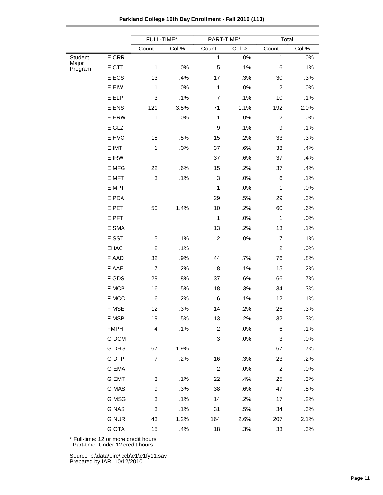|                  |              | FULL-TIME*                |       | PART-TIME*     |       | Total          |       |
|------------------|--------------|---------------------------|-------|----------------|-------|----------------|-------|
|                  |              | Count                     | Col % | Count          | Col % | Count          | Col % |
| <b>Student</b>   | E CRR        |                           |       | $\mathbf{1}$   | .0%   | $\mathbf{1}$   | .0%   |
| Major<br>Program | E CTT        | 1                         | .0%   | 5              | .1%   | $\,6$          | .1%   |
|                  | E ECS        | 13                        | .4%   | 17             | .3%   | 30             | .3%   |
|                  | E EIW        | 1                         | .0%   | $\mathbf{1}$   | .0%   | $\overline{c}$ | .0%   |
|                  | E ELP        | 3                         | .1%   | $\overline{7}$ | .1%   | 10             | .1%   |
|                  | E ENS        | 121                       | 3.5%  | 71             | 1.1%  | 192            | 2.0%  |
|                  | E ERW        | 1                         | .0%   | $\mathbf 1$    | .0%   | $\overline{c}$ | .0%   |
|                  | E GLZ        |                           |       | 9              | .1%   | 9              | .1%   |
|                  | E HVC        | 18                        | .5%   | 15             | .2%   | 33             | .3%   |
|                  | E IMT        | 1                         | .0%   | 37             | .6%   | 38             | .4%   |
|                  | E IRW        |                           |       | 37             | .6%   | 37             | .4%   |
|                  | E MFG        | 22                        | .6%   | 15             | .2%   | 37             | .4%   |
|                  | E MFT        | $\ensuremath{\mathsf{3}}$ | .1%   | 3              | .0%   | 6              | .1%   |
|                  | E MPT        |                           |       | $\mathbf{1}$   | .0%   | 1              | .0%   |
|                  | E PDA        |                           |       | 29             | .5%   | 29             | .3%   |
|                  | E PET        | 50                        | 1.4%  | 10             | .2%   | 60             | .6%   |
|                  | E PFT        |                           |       | $\mathbf 1$    | .0%   | 1              | .0%   |
|                  | E SMA        |                           |       | 13             | .2%   | 13             | .1%   |
|                  | E SST        | 5                         | .1%   | $\overline{c}$ | .0%   | $\overline{7}$ | .1%   |
|                  | <b>EHAC</b>  | $\boldsymbol{2}$          | .1%   |                |       | $\overline{c}$ | .0%   |
|                  | F AAD        | 32                        | .9%   | 44             | .7%   | 76             | .8%   |
|                  | F AAE        | $\overline{7}$            | .2%   | 8              | .1%   | 15             | .2%   |
|                  | F GDS        | 29                        | .8%   | 37             | .6%   | 66             | .7%   |
|                  | F MCB        | 16                        | .5%   | 18             | .3%   | 34             | .3%   |
|                  | F MCC        | $\,6$                     | .2%   | 6              | .1%   | 12             | .1%   |
|                  | F MSE        | 12                        | .3%   | 14             | .2%   | 26             | .3%   |
|                  | F MSP        | 19                        | .5%   | 13             | .2%   | 32             | .3%   |
|                  | <b>FMPH</b>  | $\overline{\mathbf{4}}$   | .1%   | $\overline{c}$ | .0%   | 6              | .1%   |
|                  | G DCM        |                           |       | 3              | .0%   | 3              | .0%   |
|                  | G DHG        | 67                        | 1.9%  |                |       | 67             | .7%   |
|                  | <b>GDTP</b>  | $\boldsymbol{7}$          | .2%   | 16             | .3%   | 23             | .2%   |
|                  | G EMA        |                           |       | $\overline{c}$ | .0%   | $\overline{c}$ | .0%   |
|                  | <b>G EMT</b> | 3                         | .1%   | 22             | .4%   | 25             | .3%   |
|                  | G MAS        | 9                         | .3%   | 38             | .6%   | 47             | .5%   |
|                  | G MSG        | 3                         | .1%   | 14             | .2%   | 17             | .2%   |
|                  | <b>G NAS</b> | 3                         | .1%   | 31             | .5%   | 34             | .3%   |
|                  | <b>G NUR</b> | 43                        | 1.2%  | 164            | 2.6%  | 207            | 2.1%  |
|                  | <b>G OTA</b> | 15                        | .4%   | 18             | .3%   | 33             | .3%   |

**Parkland College 10th Day Enrollment - Fall 2010 (113)**

Part-time: Under 12 credit hours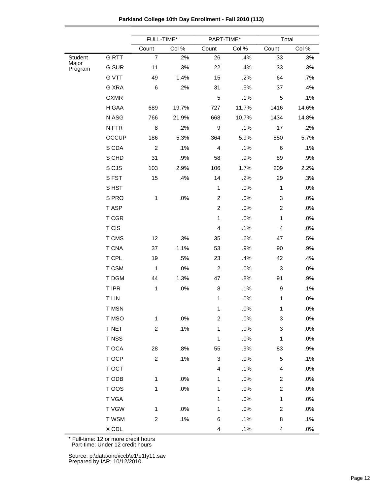|  | Parkland College 10th Day Enrollment - Fall 2010 (113) |  |
|--|--------------------------------------------------------|--|
|--|--------------------------------------------------------|--|

|                  |                               | FULL-TIME*     |       | PART-TIME*                |        | Total                     |       |
|------------------|-------------------------------|----------------|-------|---------------------------|--------|---------------------------|-------|
|                  |                               | Count          | Col % | Count                     | Col %  | Count                     | Col % |
| Student          | <b>GRTT</b>                   | $\overline{7}$ | .2%   | 26                        | .4%    | 33                        | .3%   |
| Major<br>Program | G SUR                         | 11             | .3%   | 22                        | .4%    | 33                        | .3%   |
|                  | <b>G VTT</b>                  | 49             | 1.4%  | 15                        | .2%    | 64                        | .7%   |
|                  | G XRA                         | 6              | .2%   | 31                        | .5%    | 37                        | .4%   |
|                  | <b>GXMR</b>                   |                |       | 5                         | .1%    | 5                         | .1%   |
|                  | H GAA                         | 689            | 19.7% | 727                       | 11.7%  | 1416                      | 14.6% |
|                  | N ASG                         | 766            | 21.9% | 668                       | 10.7%  | 1434                      | 14.8% |
|                  | N FTR                         | 8              | .2%   | $\boldsymbol{9}$          | .1%    | 17                        | .2%   |
|                  | <b>OCCUP</b>                  | 186            | 5.3%  | 364                       | 5.9%   | 550                       | 5.7%  |
|                  | S CDA                         | $\overline{c}$ | .1%   | $\overline{\mathbf{4}}$   | .1%    | 6                         | .1%   |
|                  | S CHD                         | 31             | .9%   | 58                        | .9%    | 89                        | .9%   |
|                  | S CJS                         | 103            | 2.9%  | 106                       | 1.7%   | 209                       | 2.2%  |
|                  | SFST                          | 15             | .4%   | 14                        | .2%    | 29                        | .3%   |
|                  | S HST                         |                |       | 1                         | .0%    | $\mathbf{1}$              | .0%   |
|                  | S PRO                         | $\mathbf{1}$   | .0%   | $\boldsymbol{2}$          | .0%    | 3                         | .0%   |
|                  | T ASP                         |                |       | $\overline{2}$            | .0%    | $\overline{c}$            | .0%   |
|                  | T CGR                         |                |       | $\mathbf{1}$              | .0%    | $\mathbf{1}$              | .0%   |
|                  | T CIS                         |                |       | 4                         | .1%    | $\overline{4}$            | .0%   |
|                  | T CMS                         | 12             | .3%   | 35                        | .6%    | 47                        | .5%   |
|                  | <b>T CNA</b>                  | 37             | 1.1%  | 53                        | .9%    | 90                        | .9%   |
|                  | T CPL                         | 19             | .5%   | 23                        | .4%    | 42                        | .4%   |
|                  | T CSM                         | $\mathbf{1}$   | .0%   | $\overline{c}$            | .0%    | $\ensuremath{\mathsf{3}}$ | .0%   |
|                  | T DGM                         | 44             | 1.3%  | 47                        | .8%    | 91                        | .9%   |
|                  | T IPR                         | $\mathbf{1}$   | .0%   | 8                         | .1%    | 9                         | .1%   |
|                  | <b>T LIN</b>                  |                |       | 1                         | .0%    | $\mathbf{1}$              | .0%   |
|                  | <b>T MSN</b>                  |                |       | 1                         | .0%    | $\mathbf 1$               | .0%   |
|                  | T MSO                         | $\mathbf{1}$   | .0%   | $\overline{c}$            | .0%    | 3                         | .0%   |
|                  | <b>T NET</b>                  | $\overline{c}$ | .1%   | 1                         | .0%    | 3                         | .0%   |
|                  | T NSS                         |                |       | 1                         | .0%    | $\mathbf 1$               | .0%   |
|                  | T OCA                         | 28             | .8%   | 55                        | .9%    | 83                        | .9%   |
|                  | T OCP                         | $\overline{c}$ | .1%   | $\ensuremath{\mathsf{3}}$ | $.0\%$ | 5                         | .1%   |
|                  | T OCT                         |                |       | 4                         | .1%    | 4                         | .0%   |
|                  | T ODB                         | $\mathbf{1}$   | .0%   | 1                         | .0%    | $\overline{c}$            | .0%   |
|                  | T OOS                         | $\mathbf{1}$   | .0%   | 1                         | .0%    | $\overline{c}$            | .0%   |
|                  | T VGA                         |                |       | 1                         | .0%    | $\mathbf{1}$              | .0%   |
|                  | T VGW                         | $\mathbf{1}$   | .0%   | 1                         | .0%    | $\overline{\mathbf{c}}$   | .0%   |
|                  | T WSM                         | $\overline{c}$ | .1%   | 6                         | .1%    | 8                         | .1%   |
|                  | $\boldsymbol{\mathsf{X}}$ CDL |                |       | 4                         | .1%    | 4                         | .0%   |

Part-time: Under 12 credit hours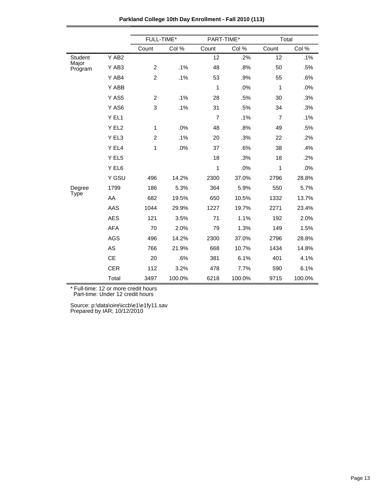|                  |            | FULL-TIME*                |        | PART-TIME*     |        | Total          |        |  |
|------------------|------------|---------------------------|--------|----------------|--------|----------------|--------|--|
|                  |            | Count                     | Col %  | Count          | Col %  | Count          | Col %  |  |
| Student          | Y AB2      |                           |        | 12             | .2%    | 12             | .1%    |  |
| Major<br>Program | Y AB3      | $\overline{c}$            | .1%    | 48             | .8%    | 50             | .5%    |  |
|                  | Y AB4      | $\boldsymbol{2}$          | .1%    | 53             | .9%    | 55             | .6%    |  |
|                  | Y ABB      |                           |        | 1              | .0%    | 1              | .0%    |  |
|                  | Y AS5      | $\overline{c}$            | .1%    | 28             | .5%    | 30             | .3%    |  |
|                  | Y AS6      | $\ensuremath{\mathsf{3}}$ | .1%    | 31             | .5%    | 34             | .3%    |  |
|                  | Y EL1      |                           |        | $\overline{7}$ | .1%    | $\overline{7}$ | .1%    |  |
|                  | Y EL2      | $\mathbf{1}$              | .0%    | 48             | .8%    | 49             | .5%    |  |
|                  | Y EL3      | $\overline{c}$            | .1%    | 20             | .3%    | 22             | .2%    |  |
|                  | Y EL4      | $\mathbf{1}$              | .0%    | 37             | .6%    | 38             | .4%    |  |
|                  | Y EL5      |                           |        | 18             | .3%    | 18             | .2%    |  |
|                  | Y EL6      |                           |        | 1              | .0%    | 1              | .0%    |  |
|                  | Y GSU      | 496                       | 14.2%  | 2300           | 37.0%  | 2796           | 28.8%  |  |
| Degree           | 1799       | 186                       | 5.3%   | 364            | 5.9%   | 550            | 5.7%   |  |
| <b>Type</b>      | AA         | 682                       | 19.5%  | 650            | 10.5%  | 1332           | 13.7%  |  |
|                  | AAS        | 1044                      | 29.9%  | 1227           | 19.7%  | 2271           | 23.4%  |  |
|                  | <b>AES</b> | 121                       | 3.5%   | 71             | 1.1%   | 192            | 2.0%   |  |
|                  | <b>AFA</b> | 70                        | 2.0%   | 79             | 1.3%   | 149            | 1.5%   |  |
|                  | <b>AGS</b> | 496                       | 14.2%  | 2300           | 37.0%  | 2796           | 28.8%  |  |
|                  | AS         | 766                       | 21.9%  | 668            | 10.7%  | 1434           | 14.8%  |  |
|                  | <b>CE</b>  | 20                        | .6%    | 381            | 6.1%   | 401            | 4.1%   |  |
|                  | <b>CER</b> | 112                       | 3.2%   | 478            | 7.7%   | 590            | 6.1%   |  |
|                  | Total      | 3497                      | 100.0% | 6218           | 100.0% | 9715           | 100.0% |  |

**Parkland College 10th Day Enrollment - Fall 2010 (113)**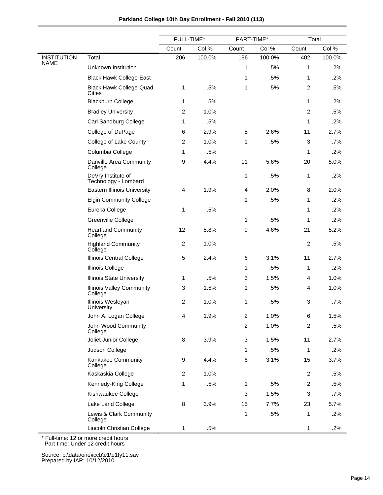| Parkland College 10th Day Enrollment - Fall 2010 (113) |  |  |  |  |  |
|--------------------------------------------------------|--|--|--|--|--|
|--------------------------------------------------------|--|--|--|--|--|

|                                   |                                             | FULL-TIME*     |        | PART-TIME*     |        | Total          |        |
|-----------------------------------|---------------------------------------------|----------------|--------|----------------|--------|----------------|--------|
|                                   |                                             | Count          | Col %  | Count          | Col %  | Count          | Col %  |
| <b>INSTITUTION</b><br><b>NAME</b> | Total                                       | 206            | 100.0% | 196            | 100.0% | 402            | 100.0% |
|                                   | Unknown Institution                         |                |        | 1              | .5%    | 1              | .2%    |
|                                   | <b>Black Hawk College-East</b>              |                |        | 1              | .5%    | $\mathbf{1}$   | .2%    |
|                                   | <b>Black Hawk College-Quad</b><br>Cities    | 1              | .5%    | 1              | .5%    | $\overline{c}$ | .5%    |
|                                   | <b>Blackburn College</b>                    | 1              | .5%    |                |        | $\mathbf{1}$   | .2%    |
|                                   | <b>Bradley University</b>                   | $\overline{c}$ | 1.0%   |                |        | 2              | .5%    |
|                                   | Carl Sandburg College                       | 1              | .5%    |                |        | 1              | .2%    |
|                                   | College of DuPage                           | 6              | 2.9%   | 5              | 2.6%   | 11             | 2.7%   |
|                                   | College of Lake County                      | 2              | 1.0%   | 1              | .5%    | 3              | .7%    |
|                                   | Columbia College                            | 1              | .5%    |                |        | 1              | .2%    |
|                                   | Danville Area Community<br>College          | 9              | 4.4%   | 11             | 5.6%   | 20             | 5.0%   |
|                                   | DeVry Institute of<br>Technology - Lombard  |                |        | 1              | .5%    | 1              | .2%    |
|                                   | <b>Eastern Illinois University</b>          | 4              | 1.9%   | 4              | 2.0%   | 8              | 2.0%   |
|                                   | <b>Elgin Community College</b>              |                |        | 1              | .5%    | 1              | .2%    |
|                                   | Eureka College                              | 1              | .5%    |                |        | 1              | .2%    |
|                                   | Greenville College                          |                |        | 1              | .5%    | 1              | .2%    |
|                                   | <b>Heartland Community</b><br>College       | 12             | 5.8%   | 9              | 4.6%   | 21             | 5.2%   |
|                                   | <b>Highland Community</b><br>College        | $\overline{c}$ | 1.0%   |                |        | $\overline{c}$ | .5%    |
|                                   | Illinois Central College                    | 5              | 2.4%   | 6              | 3.1%   | 11             | 2.7%   |
|                                   | Illinois College                            |                |        | 1              | .5%    | 1              | .2%    |
|                                   | <b>Illinois State University</b>            | 1              | .5%    | 3              | 1.5%   | 4              | 1.0%   |
|                                   | <b>Illinois Valley Community</b><br>College | 3              | 1.5%   | 1              | .5%    | 4              | 1.0%   |
|                                   | Illinois Wesleyan<br>University             | $\overline{c}$ | 1.0%   | 1              | .5%    | 3              | .7%    |
|                                   | John A. Logan College                       | 4              | 1.9%   | $\overline{c}$ | 1.0%   | 6              | 1.5%   |
|                                   | John Wood Community<br>College              |                |        | $\overline{c}$ | 1.0%   | $\overline{c}$ | .5%    |
|                                   | Joliet Junior College                       | 8              | 3.9%   | 3              | 1.5%   | 11             | 2.7%   |
|                                   | Judson College                              |                |        | 1              | .5%    | $\mathbf{1}$   | .2%    |
|                                   | Kankakee Community<br>College               | 9              | 4.4%   | 6              | 3.1%   | 15             | 3.7%   |
|                                   | Kaskaskia College                           | $\overline{2}$ | 1.0%   |                |        | $\overline{2}$ | .5%    |
|                                   | Kennedy-King College                        | 1              | .5%    | 1              | .5%    | $\overline{2}$ | .5%    |
|                                   | Kishwaukee College                          |                |        | 3              | 1.5%   | 3              | .7%    |
|                                   | Lake Land College                           | 8              | 3.9%   | 15             | 7.7%   | 23             | 5.7%   |
|                                   | Lewis & Clark Community<br>College          |                |        | 1              | .5%    | 1              | .2%    |
|                                   | Lincoln Christian College                   | 1              | .5%    |                |        | 1              | .2%    |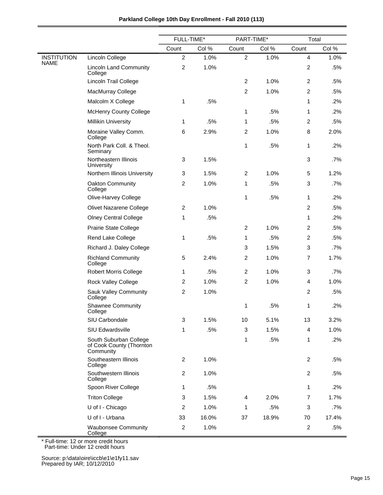|                    |                                                                 | FULL-TIME*     |       | PART-TIME*     |       | Total          |        |
|--------------------|-----------------------------------------------------------------|----------------|-------|----------------|-------|----------------|--------|
|                    |                                                                 | Count          | Col % | Count          | Col % | Count          | Col %  |
| <b>INSTITUTION</b> | Lincoln College                                                 | 2              | 1.0%  | $\overline{c}$ | 1.0%  | $\overline{4}$ | 1.0%   |
| <b>NAME</b>        | <b>Lincoln Land Community</b><br>College                        | $\overline{c}$ | 1.0%  |                |       | $\overline{c}$ | .5%    |
|                    | Lincoln Trail College                                           |                |       | $\overline{c}$ | 1.0%  | $\overline{2}$ | .5%    |
|                    | MacMurray College                                               |                |       | $\overline{c}$ | 1.0%  | $\overline{2}$ | .5%    |
|                    | Malcolm X College                                               | 1              | .5%   |                |       | $\mathbf{1}$   | .2%    |
|                    | <b>McHenry County College</b>                                   |                |       | 1              | .5%   | $\mathbf{1}$   | .2%    |
|                    | Millikin University                                             | 1              | .5%   | 1              | .5%   | $\overline{c}$ | .5%    |
|                    | Moraine Valley Comm.<br>College                                 | 6              | 2.9%  | $\overline{c}$ | 1.0%  | 8              | 2.0%   |
|                    | North Park Coll. & Theol.<br>Seminary                           |                |       | 1              | .5%   | 1              | .2%    |
|                    | Northeastern Illinois<br>University                             | 3              | 1.5%  |                |       | 3              | $.7\%$ |
|                    | Northern Illinois University                                    | 3              | 1.5%  | $\overline{c}$ | 1.0%  | 5              | 1.2%   |
|                    | Oakton Community<br>College                                     | $\overline{c}$ | 1.0%  | 1              | .5%   | 3              | .7%    |
|                    | Olive-Harvey College                                            |                |       | 1              | .5%   | $\mathbf{1}$   | .2%    |
|                    | <b>Olivet Nazarene College</b>                                  | $\overline{2}$ | 1.0%  |                |       | 2              | .5%    |
|                    | <b>Olney Central College</b>                                    | 1              | .5%   |                |       | $\mathbf{1}$   | .2%    |
|                    | Prairie State College                                           |                |       | $\overline{c}$ | 1.0%  | $\overline{c}$ | .5%    |
|                    | Rend Lake College                                               | 1              | .5%   | 1              | .5%   | $\overline{2}$ | .5%    |
|                    | Richard J. Daley College                                        |                |       | 3              | 1.5%  | 3              | .7%    |
|                    | <b>Richland Community</b><br>College                            | 5              | 2.4%  | $\overline{c}$ | 1.0%  | $\overline{7}$ | 1.7%   |
|                    | <b>Robert Morris College</b>                                    | 1              | .5%   | $\overline{c}$ | 1.0%  | 3              | $.7\%$ |
|                    | Rock Valley College                                             | 2              | 1.0%  | $\overline{c}$ | 1.0%  | 4              | 1.0%   |
|                    | Sauk Valley Community<br>College                                | $\overline{c}$ | 1.0%  |                |       | $\overline{c}$ | .5%    |
|                    | <b>Shawnee Community</b><br>College                             |                |       | 1              | .5%   | 1              | .2%    |
|                    | SIU Carbondale                                                  | 3              | 1.5%  | 10             | 5.1%  | 13             | 3.2%   |
|                    | SIU Edwardsville                                                | 1              | .5%   | 3              | 1.5%  | 4              | 1.0%   |
|                    | South Suburban College<br>of Cook County (Thornton<br>Community |                |       | 1              | .5%   | $\mathbf{1}$   | .2%    |
|                    | Southeastern Illinois<br>College                                | $\overline{c}$ | 1.0%  |                |       | $\overline{2}$ | .5%    |
|                    | Southwestern Illinois<br>College                                | $\overline{c}$ | 1.0%  |                |       | $\overline{c}$ | .5%    |
|                    | Spoon River College                                             | 1              | .5%   |                |       | $\mathbf{1}$   | .2%    |
|                    | <b>Triton College</b>                                           | 3              | 1.5%  | 4              | 2.0%  | $\overline{7}$ | 1.7%   |
|                    | U of I - Chicago                                                | $\overline{2}$ | 1.0%  | 1              | .5%   | 3              | $.7\%$ |
|                    | U of I - Urbana                                                 | 33             | 16.0% | 37             | 18.9% | 70             | 17.4%  |
|                    | <b>Waubonsee Community</b><br>College                           | $\overline{c}$ | 1.0%  |                |       | $\overline{c}$ | .5%    |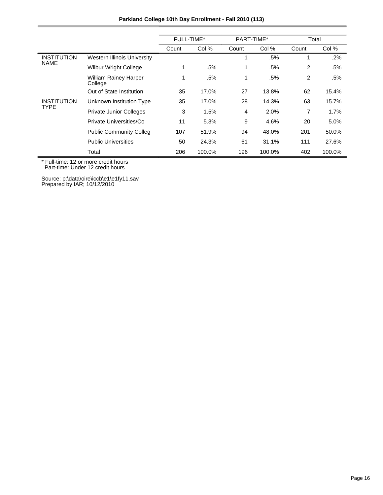| Parkland College 10th Day Enrollment - Fall 2010 (113) |                                         |                   |        |            |        |       |        |  |  |
|--------------------------------------------------------|-----------------------------------------|-------------------|--------|------------|--------|-------|--------|--|--|
|                                                        |                                         | <b>FULL-TIME*</b> |        | PART-TIME* |        | Total |        |  |  |
|                                                        |                                         | Count             | Col %  | Count      | Col %  | Count | Col %  |  |  |
| <b>INSTITUTION</b><br><b>NAME</b>                      | Western Illinois University             |                   |        | 1          | .5%    | 1     | .2%    |  |  |
|                                                        | <b>Wilbur Wright College</b>            |                   | .5%    | 1          | .5%    | 2     | .5%    |  |  |
|                                                        | <b>William Rainey Harper</b><br>College |                   | .5%    | 1          | .5%    | 2     | .5%    |  |  |
|                                                        | Out of State Institution                | 35                | 17.0%  | 27         | 13.8%  | 62    | 15.4%  |  |  |
| <b>INSTITUTION</b><br><b>TYPE</b>                      | Unknown Institution Type                | 35                | 17.0%  | 28         | 14.3%  | 63    | 15.7%  |  |  |
|                                                        | <b>Private Junior Colleges</b>          | 3                 | 1.5%   | 4          | 2.0%   | 7     | 1.7%   |  |  |
|                                                        | Private Universities/Co                 | 11                | 5.3%   | 9          | 4.6%   | 20    | 5.0%   |  |  |
|                                                        | <b>Public Community Colleg</b>          | 107               | 51.9%  | 94         | 48.0%  | 201   | 50.0%  |  |  |
|                                                        | <b>Public Universities</b>              | 50                | 24.3%  | 61         | 31.1%  | 111   | 27.6%  |  |  |
|                                                        | Total                                   | 206               | 100.0% | 196        | 100.0% | 402   | 100.0% |  |  |

Source: p:\data\oire\iccb\e1\e1fy11.sav Prepared by IAR; 10/12/2010

 $\overline{\phantom{0}}$